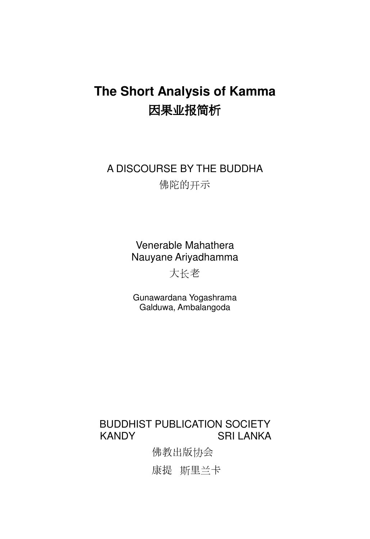# **The Short Analysis of Kamma**  因果业报简析

A DISCOURSE BY THE BUDDHA 佛陀的开示

> Venerable Mahathera Nauyane Ariyadhamma

> > 大长老

Gunawardana Yogashrama Galduwa, Ambalangoda

### BUDDHIST PUBLICATION SOCIETY KANDY SRI LANKA

佛教出版协会

康提 斯里兰卡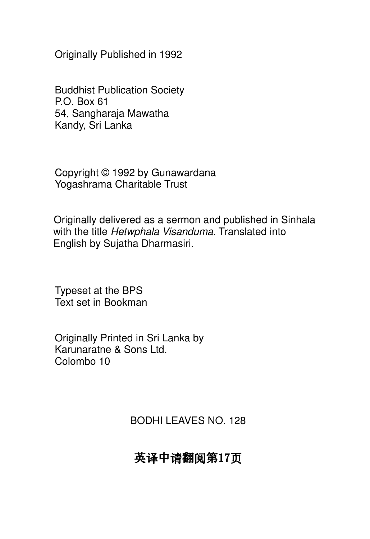Originally Published in 1992

Buddhist Publication Society P.O. Box 61 54, Sangharaja Mawatha Kandy, Sri Lanka

Copyright © 1992 by Gunawardana Yogashrama Charitable Trust

Originally delivered as a sermon and published in Sinhala with the title Hetwphala Visanduma. Translated into English by Sujatha Dharmasiri.

Typeset at the BPS Text set in Bookman

Originally Printed in Sri Lanka by Karunaratne & Sons Ltd. Colombo 10

BODHI LEAVES NO. 128

# 英译中请翻阅第17页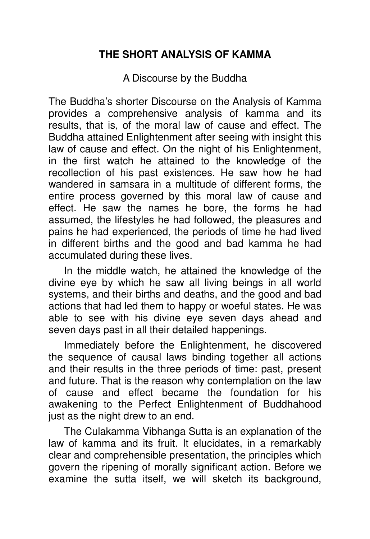### **THE SHORT ANALYSIS OF KAMMA**

A Discourse by the Buddha

The Buddha's shorter Discourse on the Analysis of Kamma provides a comprehensive analysis of kamma and its results, that is, of the moral law of cause and effect. The Buddha attained Enlightenment after seeing with insight this law of cause and effect. On the night of his Enlightenment, in the first watch he attained to the knowledge of the recollection of his past existences. He saw how he had wandered in samsara in a multitude of different forms, the entire process governed by this moral law of cause and effect. He saw the names he bore, the forms he had assumed, the lifestyles he had followed, the pleasures and pains he had experienced, the periods of time he had lived in different births and the good and bad kamma he had accumulated during these lives.

In the middle watch, he attained the knowledge of the divine eye by which he saw all living beings in all world systems, and their births and deaths, and the good and bad actions that had led them to happy or woeful states. He was able to see with his divine eye seven days ahead and seven days past in all their detailed happenings.

Immediately before the Enlightenment, he discovered the sequence of causal laws binding together all actions and their results in the three periods of time: past, present and future. That is the reason why contemplation on the law of cause and effect became the foundation for his awakening to the Perfect Enlightenment of Buddhahood just as the night drew to an end.

The Culakamma Vibhanga Sutta is an explanation of the law of kamma and its fruit. It elucidates, in a remarkably clear and comprehensible presentation, the principles which govern the ripening of morally significant action. Before we examine the sutta itself, we will sketch its background,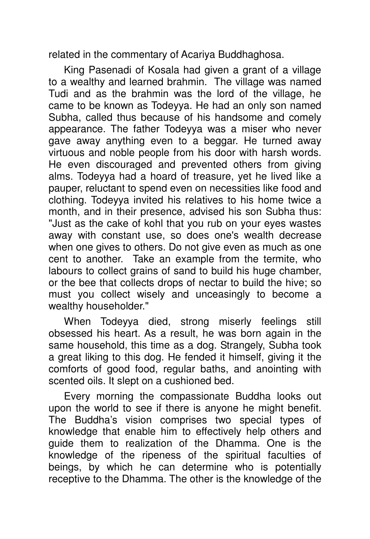related in the commentary of Acariya Buddhaghosa.

King Pasenadi of Kosala had given a grant of a village to a wealthy and learned brahmin. The village was named Tudi and as the brahmin was the lord of the village, he came to be known as Todeyya. He had an only son named Subha, called thus because of his handsome and comely appearance. The father Todeyya was a miser who never gave away anything even to a beggar. He turned away virtuous and noble people from his door with harsh words. He even discouraged and prevented others from giving alms. Todeyya had a hoard of treasure, yet he lived like a pauper, reluctant to spend even on necessities like food and clothing. Todeyya invited his relatives to his home twice a month, and in their presence, advised his son Subha thus: "Just as the cake of kohl that you rub on your eyes wastes away with constant use, so does one's wealth decrease when one gives to others. Do not give even as much as one cent to another. Take an example from the termite, who labours to collect grains of sand to build his huge chamber, or the bee that collects drops of nectar to build the hive; so must you collect wisely and unceasingly to become a wealthy householder."

When Todeyya died, strong miserly feelings still obsessed his heart. As a result, he was born again in the same household, this time as a dog. Strangely, Subha took a great liking to this dog. He fended it himself, giving it the comforts of good food, regular baths, and anointing with scented oils. It slept on a cushioned bed.

Every morning the compassionate Buddha looks out upon the world to see if there is anyone he might benefit. The Buddha's vision comprises two special types of knowledge that enable him to effectively help others and guide them to realization of the Dhamma. One is the knowledge of the ripeness of the spiritual faculties of beings, by which he can determine who is potentially receptive to the Dhamma. The other is the knowledge of the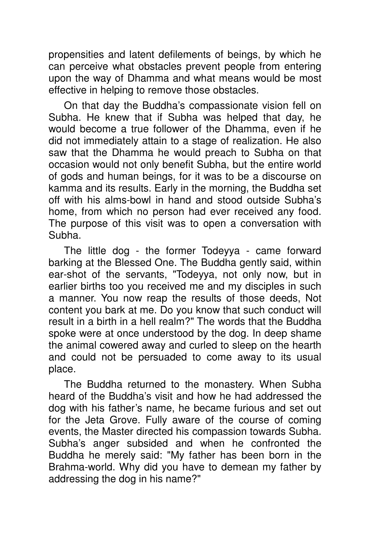propensities and latent defilements of beings, by which he can perceive what obstacles prevent people from entering upon the way of Dhamma and what means would be most effective in helping to remove those obstacles.

On that day the Buddha's compassionate vision fell on Subha. He knew that if Subha was helped that day, he would become a true follower of the Dhamma, even if he did not immediately attain to a stage of realization. He also saw that the Dhamma he would preach to Subha on that occasion would not only benefit Subha, but the entire world of gods and human beings, for it was to be a discourse on kamma and its results. Early in the morning, the Buddha set off with his alms-bowl in hand and stood outside Subha's home, from which no person had ever received any food. The purpose of this visit was to open a conversation with Subha.

The little dog - the former Todeyya - came forward barking at the Blessed One. The Buddha gently said, within ear-shot of the servants, "Todeyya, not only now, but in earlier births too you received me and my disciples in such a manner. You now reap the results of those deeds, Not content you bark at me. Do you know that such conduct will result in a birth in a hell realm?" The words that the Buddha spoke were at once understood by the dog. In deep shame the animal cowered away and curled to sleep on the hearth and could not be persuaded to come away to its usual place.

The Buddha returned to the monastery. When Subha heard of the Buddha's visit and how he had addressed the dog with his father's name, he became furious and set out for the Jeta Grove. Fully aware of the course of coming events, the Master directed his compassion towards Subha. Subha's anger subsided and when he confronted the Buddha he merely said: "My father has been born in the Brahma-world. Why did you have to demean my father by addressing the dog in his name?"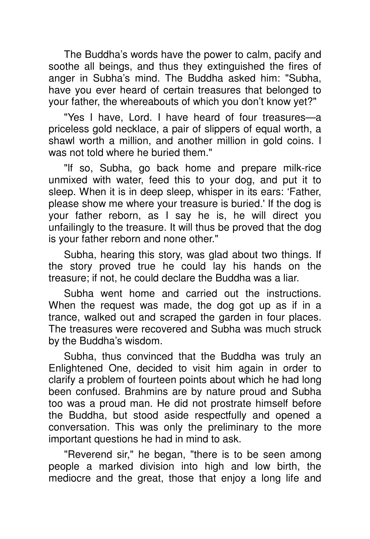The Buddha's words have the power to calm, pacify and soothe all beings, and thus they extinguished the fires of anger in Subha's mind. The Buddha asked him: "Subha, have you ever heard of certain treasures that belonged to your father, the whereabouts of which you don't know yet?"

"Yes I have, Lord. I have heard of four treasures—a priceless gold necklace, a pair of slippers of equal worth, a shawl worth a million, and another million in gold coins. I was not told where he buried them."

"lf so, Subha, go back home and prepare milk-rice unmixed with water, feed this to your dog, and put it to sleep. When it is in deep sleep, whisper in its ears: 'Father, please show me where your treasure is buried.' If the dog is your father reborn, as I say he is, he will direct you unfailingly to the treasure. It will thus be proved that the dog is your father reborn and none other."

Subha, hearing this story, was glad about two things. If the story proved true he could lay his hands on the treasure; if not, he could declare the Buddha was a liar.

Subha went home and carried out the instructions. When the request was made, the dog got up as if in a trance, walked out and scraped the garden in four places. The treasures were recovered and Subha was much struck by the Buddha's wisdom.

Subha, thus convinced that the Buddha was truly an Enlightened One, decided to visit him again in order to clarify a problem of fourteen points about which he had long been confused. Brahmins are by nature proud and Subha too was a proud man. He did not prostrate himself before the Buddha, but stood aside respectfully and opened a conversation. This was only the preliminary to the more important questions he had in mind to ask.

"Reverend sir," he began, "there is to be seen among people a marked division into high and low birth, the mediocre and the great, those that enjoy a long life and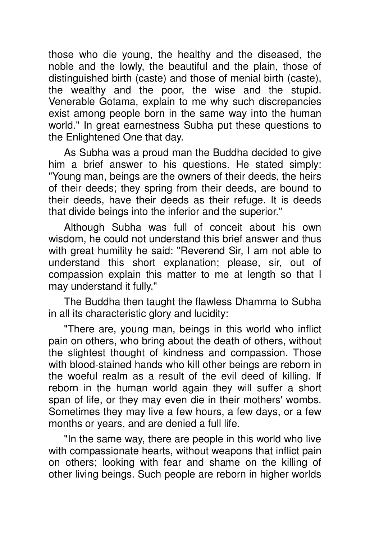those who die young, the healthy and the diseased, the noble and the lowly, the beautiful and the plain, those of distinguished birth (caste) and those of menial birth (caste), the wealthy and the poor, the wise and the stupid. Venerable Gotama, explain to me why such discrepancies exist among people born in the same way into the human world." In great earnestness Subha put these questions to the Enlightened One that day.

As Subha was a proud man the Buddha decided to give him a brief answer to his questions. He stated simply: "Young man, beings are the owners of their deeds, the heirs of their deeds; they spring from their deeds, are bound to their deeds, have their deeds as their refuge. It is deeds that divide beings into the inferior and the superior."

Although Subha was full of conceit about his own wisdom, he could not understand this brief answer and thus with great humility he said: "Reverend Sir, I am not able to understand this short explanation; please, sir, out of compassion explain this matter to me at length so that I may understand it fully."

The Buddha then taught the flawless Dhamma to Subha in all its characteristic glory and lucidity:

"There are, young man, beings in this world who inflict pain on others, who bring about the death of others, without the slightest thought of kindness and compassion. Those with blood-stained hands who kill other beings are reborn in the woeful realm as a result of the evil deed of killing. If reborn in the human world again they will suffer a short span of life, or they may even die in their mothers' wombs. Sometimes they may live a few hours, a few days, or a few months or years, and are denied a full life.

"In the same way, there are people in this world who live with compassionate hearts, without weapons that inflict pain on others; looking with fear and shame on the killing of other living beings. Such people are reborn in higher worlds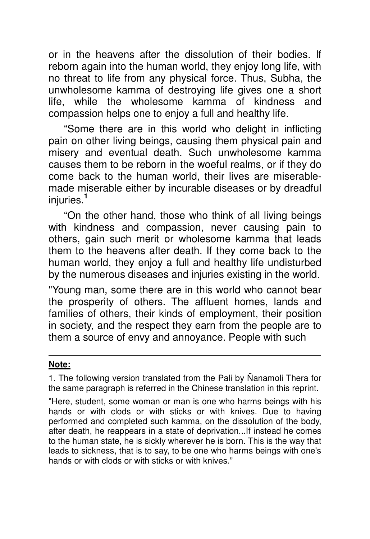or in the heavens after the dissolution of their bodies. If reborn again into the human world, they enjoy long life, with no threat to life from any physical force. Thus, Subha, the unwholesome kamma of destroying life gives one a short life, while the wholesome kamma of kindness and compassion helps one to enjoy a full and healthy life.

"Some there are in this world who delight in inflicting pain on other living beings, causing them physical pain and misery and eventual death. Such unwholesome kamma causes them to be reborn in the woeful realms, or if they do come back to the human world, their lives are miserablemade miserable either by incurable diseases or by dreadful injuries.**<sup>1</sup>**

"On the other hand, those who think of all living beings with kindness and compassion, never causing pain to others, gain such merit or wholesome kamma that leads them to the heavens after death. If they come back to the human world, they enjoy a full and healthy life undisturbed by the numerous diseases and injuries existing in the world.

"Young man, some there are in this world who cannot bear the prosperity of others. The affluent homes, lands and families of others, their kinds of employment, their position in society, and the respect they earn from the people are to them a source of envy and annoyance. People with such

#### **Note:**

1. The following version translated from the Pali by Ñanamoli Thera for the same paragraph is referred in the Chinese translation in this reprint.

"Here, student, some woman or man is one who harms beings with his hands or with clods or with sticks or with knives. Due to having performed and completed such kamma, on the dissolution of the body, after death, he reappears in a state of deprivation...If instead he comes to the human state, he is sickly wherever he is born. This is the way that leads to sickness, that is to say, to be one who harms beings with one's hands or with clods or with sticks or with knives."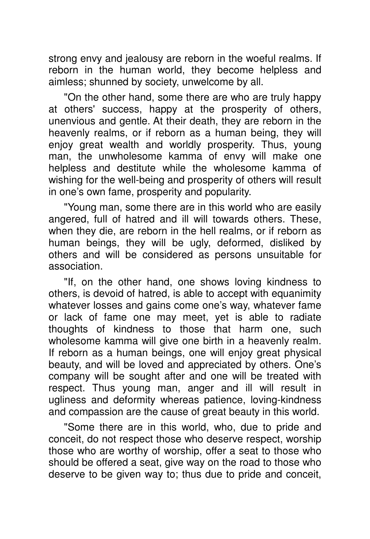strong envy and jealousy are reborn in the woeful realms. If reborn in the human world, they become helpless and aimless; shunned by society, unwelcome by all.

"On the other hand, some there are who are truly happy at others' success, happy at the prosperity of others, unenvious and gentle. At their death, they are reborn in the heavenly realms, or if reborn as a human being, they will enjoy great wealth and worldly prosperity. Thus, young man, the unwholesome kamma of envy will make one helpless and destitute while the wholesome kamma of wishing for the well-being and prosperity of others will result in one's own fame, prosperity and popularity.

"Young man, some there are in this world who are easily angered, full of hatred and ill will towards others. These, when they die, are reborn in the hell realms, or if reborn as human beings, they will be ugly, deformed, disliked by others and will be considered as persons unsuitable for association.

"If, on the other hand, one shows loving kindness to others, is devoid of hatred, is able to accept with equanimity whatever losses and gains come one's way, whatever fame or lack of fame one may meet, yet is able to radiate thoughts of kindness to those that harm one, such wholesome kamma will give one birth in a heavenly realm. If reborn as a human beings, one will enjoy great physical beauty, and will be loved and appreciated by others. One's company will be sought after and one will be treated with respect. Thus young man, anger and ill will result in ugliness and deformity whereas patience, loving-kindness and compassion are the cause of great beauty in this world.

"Some there are in this world, who, due to pride and conceit, do not respect those who deserve respect, worship those who are worthy of worship, offer a seat to those who should be offered a seat, give way on the road to those who deserve to be given way to; thus due to pride and conceit,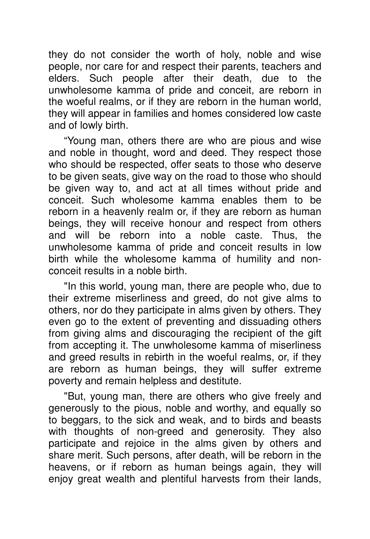they do not consider the worth of holy, noble and wise people, nor care for and respect their parents, teachers and elders. Such people after their death, due to the unwholesome kamma of pride and conceit, are reborn in the woeful realms, or if they are reborn in the human world, they will appear in families and homes considered low caste and of lowly birth.

"Young man, others there are who are pious and wise and noble in thought, word and deed. They respect those who should be respected, offer seats to those who deserve to be given seats, give way on the road to those who should be given way to, and act at all times without pride and conceit. Such wholesome kamma enables them to be reborn in a heavenly realm or, if they are reborn as human beings, they will receive honour and respect from others and will be reborn into a noble caste. Thus, the unwholesome kamma of pride and conceit results in low birth while the wholesome kamma of humility and nonconceit results in a noble birth.

"In this world, young man, there are people who, due to their extreme miserliness and greed, do not give alms to others, nor do they participate in alms given by others. They even go to the extent of preventing and dissuading others from giving alms and discouraging the recipient of the gift from accepting it. The unwholesome kamma of miserliness and greed results in rebirth in the woeful realms, or, if they are reborn as human beings, they will suffer extreme poverty and remain helpless and destitute.

"But, young man, there are others who give freely and generously to the pious, noble and worthy, and equally so to beggars, to the sick and weak, and to birds and beasts with thoughts of non-greed and generosity. They also participate and rejoice in the alms given by others and share merit. Such persons, after death, will be reborn in the heavens, or if reborn as human beings again, they will enjoy great wealth and plentiful harvests from their lands,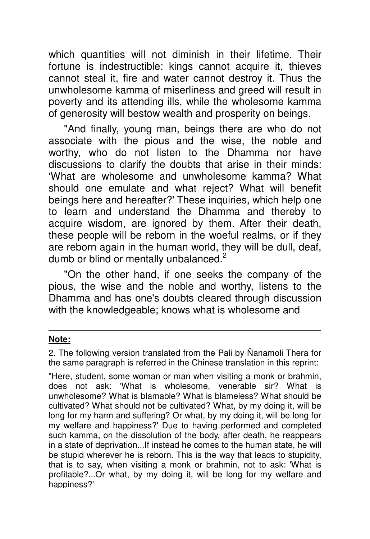which quantities will not diminish in their lifetime. Their fortune is indestructible: kings cannot acquire it, thieves cannot steal it, fire and water cannot destroy it. Thus the unwholesome kamma of miserliness and greed will result in poverty and its attending ills, while the wholesome kamma of generosity will bestow wealth and prosperity on beings.

"And finally, young man, beings there are who do not associate with the pious and the wise, the noble and worthy, who do not listen to the Dhamma nor have discussions to clarify the doubts that arise in their minds: 'What are wholesome and unwholesome kamma? What should one emulate and what reject? What will benefit beings here and hereafter?' These inquiries, which help one to learn and understand the Dhamma and thereby to acquire wisdom, are ignored by them. After their death, these people will be reborn in the woeful realms, or if they are reborn again in the human world, they will be dull, deaf, dumb or blind or mentally unbalanced. $2$ 

"On the other hand, if one seeks the company of the pious, the wise and the noble and worthy, listens to the Dhamma and has one's doubts cleared through discussion with the knowledgeable; knows what is wholesome and

#### **Note:**

2. The following version translated from the Pali by Ñanamoli Thera for the same paragraph is referred in the Chinese translation in this reprint:

"Here, student, some woman or man when visiting a monk or brahmin, does not ask: 'What is wholesome, venerable sir? What is unwholesome? What is blamable? What is blameless? What should be cultivated? What should not be cultivated? What, by my doing it, will be long for my harm and suffering? Or what, by my doing it, will be long for my welfare and happiness?' Due to having performed and completed such kamma, on the dissolution of the body, after death, he reappears in a state of deprivation...If instead he comes to the human state, he will be stupid wherever he is reborn. This is the way that leads to stupidity, that is to say, when visiting a monk or brahmin, not to ask: 'What is profitable?...Or what, by my doing it, will be long for my welfare and happiness?'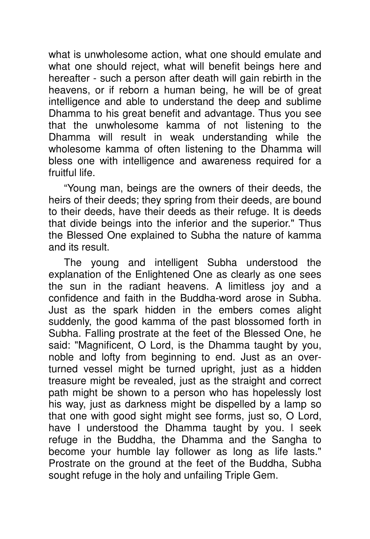what is unwholesome action, what one should emulate and what one should reject, what will benefit beings here and hereafter - such a person after death will gain rebirth in the heavens, or if reborn a human being, he will be of great intelligence and able to understand the deep and sublime Dhamma to his great benefit and advantage. Thus you see that the unwholesome kamma of not listening to the Dhamma will result in weak understanding while the wholesome kamma of often listening to the Dhamma will bless one with intelligence and awareness required for a fruitful life.

"Young man, beings are the owners of their deeds, the heirs of their deeds; they spring from their deeds, are bound to their deeds, have their deeds as their refuge. It is deeds that divide beings into the inferior and the superior." Thus the Blessed One explained to Subha the nature of kamma and its result.

The young and intelligent Subha understood the explanation of the Enlightened One as clearly as one sees the sun in the radiant heavens. A limitless joy and a confidence and faith in the Buddha-word arose in Subha. Just as the spark hidden in the embers comes alight suddenly, the good kamma of the past blossomed forth in Subha. Falling prostrate at the feet of the Blessed One, he said: "Magnificent, O Lord, is the Dhamma taught by you, noble and lofty from beginning to end. Just as an overturned vessel might be turned upright, just as a hidden treasure might be revealed, just as the straight and correct path might be shown to a person who has hopelessly lost his way, just as darkness might be dispelled by a lamp so that one with good sight might see forms, just so, O Lord, have I understood the Dhamma taught by you. l seek refuge in the Buddha, the Dhamma and the Sangha to become your humble lay follower as long as life lasts." Prostrate on the ground at the feet of the Buddha, Subha sought refuge in the holy and unfailing Triple Gem.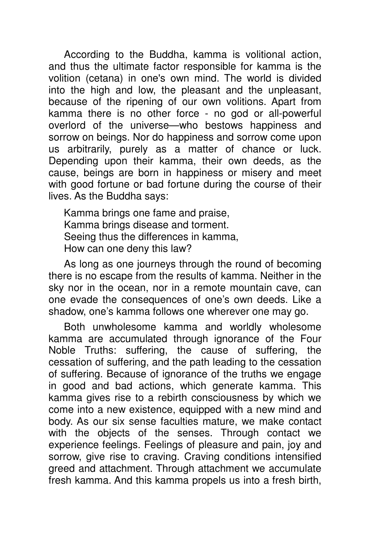According to the Buddha, kamma is volitional action, and thus the ultimate factor responsible for kamma is the volition (cetana) in one's own mind. The world is divided into the high and low, the pleasant and the unpleasant, because of the ripening of our own volitions. Apart from kamma there is no other force - no god or all-powerful overlord of the universe—who bestows happiness and sorrow on beings. Nor do happiness and sorrow come upon us arbitrarily, purely as a matter of chance or luck. Depending upon their kamma, their own deeds, as the cause, beings are born in happiness or misery and meet with good fortune or bad fortune during the course of their lives. As the Buddha says:

Kamma brings one fame and praise, Kamma brings disease and torment. Seeing thus the differences in kamma, How can one deny this law?

As long as one journeys through the round of becoming there is no escape from the results of kamma. Neither in the sky nor in the ocean, nor in a remote mountain cave, can one evade the consequences of one's own deeds. Like a shadow, one's kamma follows one wherever one may go.

Both unwholesome kamma and worldly wholesome kamma are accumulated through ignorance of the Four Noble Truths: suffering, the cause of suffering, the cessation of suffering, and the path leading to the cessation of suffering. Because of ignorance of the truths we engage in good and bad actions, which generate kamma. This kamma gives rise to a rebirth consciousness by which we come into a new existence, equipped with a new mind and body. As our six sense faculties mature, we make contact with the objects of the senses. Through contact we experience feelings. Feelings of pleasure and pain, joy and sorrow, give rise to craving. Craving conditions intensified greed and attachment. Through attachment we accumulate fresh kamma. And this kamma propels us into a fresh birth,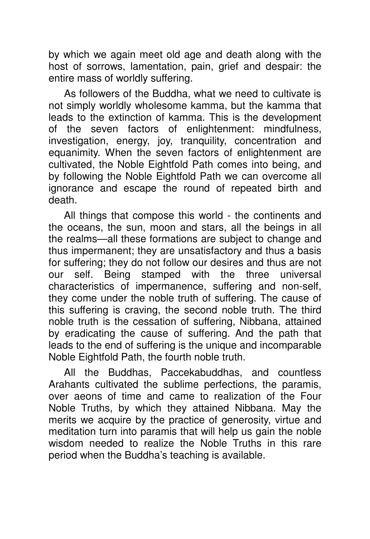by which we again meet old age and death along with the host of sorrows, lamentation, pain, grief and despair: the entire mass of worldly suffering.

As followers of the Buddha, what we need to cultivate is not simply worldly wholesome kamma, but the kamma that leads to the extinction of kamma. This is the development of the seven factors of enlightenment: mindfulness, investigation, energy, joy, tranquility, concentration and equanimity. When the seven factors of enlightenment are cultivated, the Noble Eightfold Path comes into being, and by following the Noble Eightfold Path we can overcome all ignorance and escape the round of repeated birth and death.

All things that compose this world - the continents and the oceans, the sun, moon and stars, all the beings in all the realms—all these formations are subject to change and thus impermanent; they are unsatisfactory and thus a basis for suffering; they do not follow our desires and thus are not our self. Being stamped with the three universal characteristics of impermanence, suffering and non-self, they come under the noble truth of suffering. The cause of this suffering is craving, the second noble truth. The third noble truth is the cessation of suffering, Nibbana, attained by eradicating the cause of suffering. And the path that leads to the end of suffering is the unique and incomparable Noble Eightfold Path, the fourth noble truth.

All the Buddhas, Paccekabuddhas, and countless Arahants cultivated the sublime perfections, the paramis, over aeons of time and came to realization of the Four Noble Truths, by which they attained Nibbana. May the merits we acquire by the practice of generosity, virtue and meditation turn into paramis that will help us gain the noble wisdom needed to realize the Noble Truths in this rare period when the Buddha's teaching is available.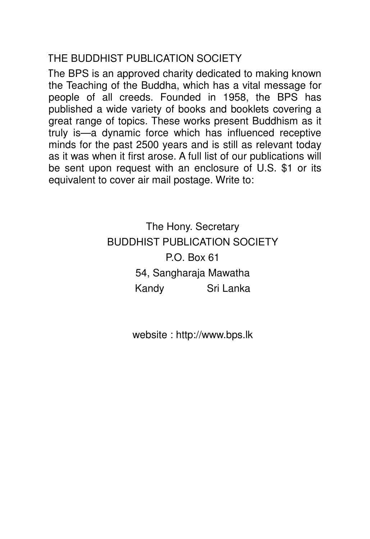## THE BUDDHIST PUBLICATION SOCIETY

The BPS is an approved charity dedicated to making known the Teaching of the Buddha, which has a vital message for people of all creeds. Founded in 1958, the BPS has published a wide variety of books and booklets covering a great range of topics. These works present Buddhism as it truly is—a dynamic force which has influenced receptive minds for the past 2500 years and is still as relevant today as it was when it first arose. A full list of our publications will be sent upon request with an enclosure of U.S. \$1 or its equivalent to cover air mail postage. Write to:

> The Hony. Secretary BUDDHIST PUBLICATION SOCIETY P.O. Box 61 54, Sangharaja Mawatha Kandy Sri Lanka

> > website : http://www.bps.lk